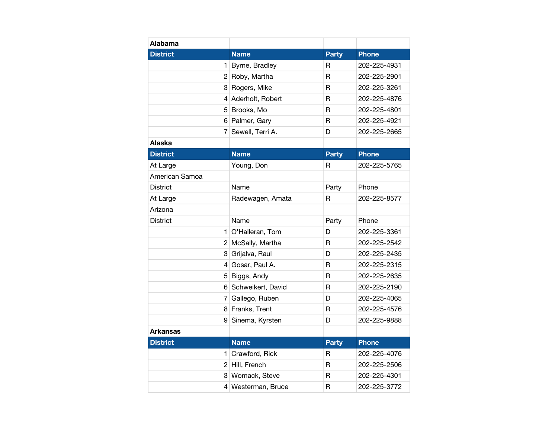| <b>Alabama</b>  |                    |              |              |
|-----------------|--------------------|--------------|--------------|
| <b>District</b> | <b>Name</b>        | <b>Party</b> | <b>Phone</b> |
| 1               | Byrne, Bradley     | R            | 202-225-4931 |
|                 | 2 Roby, Martha     | R            | 202-225-2901 |
|                 | 3 Rogers, Mike     | R            | 202-225-3261 |
|                 | 4 Aderholt, Robert | R            | 202-225-4876 |
|                 | 5 Brooks, Mo       | $\mathsf{R}$ | 202-225-4801 |
|                 | 6 Palmer, Gary     | R            | 202-225-4921 |
| 7               | Sewell, Terri A.   | D            | 202-225-2665 |
| Alaska          |                    |              |              |
| <b>District</b> | <b>Name</b>        | <b>Party</b> | <b>Phone</b> |
| At Large        | Young, Don         | R            | 202-225-5765 |
| American Samoa  |                    |              |              |
| <b>District</b> | Name               | Party        | Phone        |
| At Large        | Radewagen, Amata   | R            | 202-225-8577 |
| Arizona         |                    |              |              |
| <b>District</b> | Name               | Party        | Phone        |
|                 | 1 O'Halleran, Tom  | D            | 202-225-3361 |
|                 | 2 McSally, Martha  | R            | 202-225-2542 |
|                 | 3 Grijalva, Raul   | D            | 202-225-2435 |
|                 | 4 Gosar, Paul A.   | $\mathsf{R}$ | 202-225-2315 |
|                 | 5 Biggs, Andy      | R            | 202-225-2635 |
| 6               | Schweikert, David  | R            | 202-225-2190 |
|                 | 7 Gallego, Ruben   | D            | 202-225-4065 |
|                 | 8 Franks, Trent    | R            | 202-225-4576 |
| 9               | Sinema, Kyrsten    | D            | 202-225-9888 |
| <b>Arkansas</b> |                    |              |              |
| <b>District</b> | <b>Name</b>        | <b>Party</b> | <b>Phone</b> |
|                 | 1 Crawford, Rick   | R            | 202-225-4076 |
|                 | 2 Hill, French     | R            | 202-225-2506 |
|                 | 3 Womack, Steve    | R            | 202-225-4301 |
|                 | 4 Westerman, Bruce | R            | 202-225-3772 |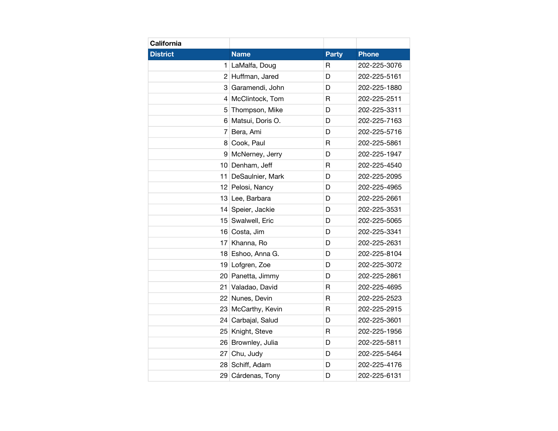| California      |                    |              |              |
|-----------------|--------------------|--------------|--------------|
| <b>District</b> | <b>Name</b>        | <b>Party</b> | <b>Phone</b> |
| 1               | LaMalfa, Doug      | R            | 202-225-3076 |
| $\overline{c}$  | Huffman, Jared     | D            | 202-225-5161 |
| 3               | Garamendi, John    | D            | 202-225-1880 |
| 4               | McClintock, Tom    | R            | 202-225-2511 |
| 5               | Thompson, Mike     | D            | 202-225-3311 |
| 6               | Matsui, Doris O.   | D            | 202-225-7163 |
| 7               | Bera, Ami          | D            | 202-225-5716 |
| 8               | Cook, Paul         | R            | 202-225-5861 |
| 9               | McNerney, Jerry    | D            | 202-225-1947 |
| 10 <sub>1</sub> | Denham, Jeff       | $\mathsf{R}$ | 202-225-4540 |
| 11              | DeSaulnier, Mark   | D            | 202-225-2095 |
| 12 <sub>2</sub> | Pelosi, Nancy      | D            | 202-225-4965 |
| 13              | Lee, Barbara       | D            | 202-225-2661 |
| 14              | Speier, Jackie     | D            | 202-225-3531 |
| 15              | Swalwell, Eric     | D            | 202-225-5065 |
|                 | 16 Costa, Jim      | D            | 202-225-3341 |
| 17              | Khanna, Ro         | D            | 202-225-2631 |
| 18              | Eshoo, Anna G.     | D            | 202-225-8104 |
| 19              | Lofgren, Zoe       | D            | 202-225-3072 |
| 20              | Panetta, Jimmy     | D            | 202-225-2861 |
| 21              | Valadao, David     | R            | 202-225-4695 |
| 22              | Nunes, Devin       | $\mathsf{R}$ | 202-225-2523 |
| 23              | McCarthy, Kevin    | R            | 202-225-2915 |
| 24              | Carbajal, Salud    | D            | 202-225-3601 |
| 25              | Knight, Steve      | $\mathsf{R}$ | 202-225-1956 |
|                 | 26 Brownley, Julia | D            | 202-225-5811 |
| 27              | Chu, Judy          | D            | 202-225-5464 |
| 28              | Schiff, Adam       | D            | 202-225-4176 |
| 29              | Cárdenas, Tony     | D            | 202-225-6131 |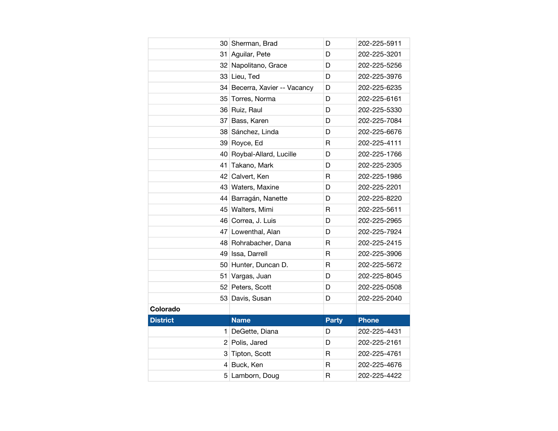|                 | 30 Sherman, Brad              | D            | 202-225-5911 |
|-----------------|-------------------------------|--------------|--------------|
| 31              | Aguilar, Pete                 | D            | 202-225-3201 |
| 32              | Napolitano, Grace             | D            | 202-225-5256 |
| 33              | Lieu, Ted                     | D            | 202-225-3976 |
|                 | 34 Becerra, Xavier -- Vacancy | D            | 202-225-6235 |
|                 | 35 Torres, Norma              | D            | 202-225-6161 |
|                 | 36 Ruiz, Raul                 | D            | 202-225-5330 |
| 37              | Bass, Karen                   | D            | 202-225-7084 |
| 38              | Sánchez, Linda                | D            | 202-225-6676 |
|                 | 39 Royce, Ed                  | R            | 202-225-4111 |
|                 | 40 Roybal-Allard, Lucille     | D            | 202-225-1766 |
| 41              | Takano, Mark                  | D            | 202-225-2305 |
| 42              | Calvert, Ken                  | R            | 202-225-1986 |
| 43              | Waters, Maxine                | D            | 202-225-2201 |
| 44              | Barragán, Nanette             | D            | 202-225-8220 |
|                 | 45 Walters, Mimi              | R            | 202-225-5611 |
| 46              | Correa, J. Luis               | D            | 202-225-2965 |
|                 | 47 Lowenthal, Alan            | D            | 202-225-7924 |
| 48              | Rohrabacher, Dana             | R            | 202-225-2415 |
| 49              | Issa, Darrell                 | R            | 202-225-3906 |
|                 | 50 Hunter, Duncan D.          | R            | 202-225-5672 |
| 51              | Vargas, Juan                  | D            | 202-225-8045 |
|                 | 52 Peters, Scott              | D            | 202-225-0508 |
| 53              |                               |              |              |
|                 | Davis, Susan                  | D            | 202-225-2040 |
| Colorado        |                               |              |              |
| <b>District</b> | <b>Name</b>                   | <b>Party</b> | <b>Phone</b> |
| 1               | DeGette, Diana                | D            | 202-225-4431 |
|                 | 2 Polis, Jared                | D            | 202-225-2161 |
| 3               | Tipton, Scott                 | R            | 202-225-4761 |
| 4               | Buck, Ken                     | R            | 202-225-4676 |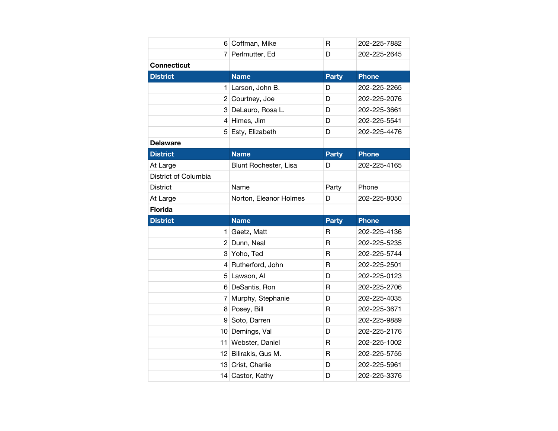|                      | 6 Coffman, Mike        | $\mathsf{R}$ | 202-225-7882 |
|----------------------|------------------------|--------------|--------------|
|                      | 7 Perlmutter, Ed       | D            | 202-225-2645 |
| <b>Connecticut</b>   |                        |              |              |
| <b>District</b>      | <b>Name</b>            | <b>Party</b> | <b>Phone</b> |
| 1                    | Larson, John B.        | D            | 202-225-2265 |
|                      | 2 Courtney, Joe        | D            | 202-225-2076 |
|                      | 3 DeLauro, Rosa L.     | D            | 202-225-3661 |
|                      | 4 Himes, Jim           | D            | 202-225-5541 |
|                      | 5 Esty, Elizabeth      | D            | 202-225-4476 |
| <b>Delaware</b>      |                        |              |              |
| <b>District</b>      | <b>Name</b>            | <b>Party</b> | <b>Phone</b> |
| At Large             | Blunt Rochester, Lisa  | D            | 202-225-4165 |
| District of Columbia |                        |              |              |
| <b>District</b>      | Name                   | Party        | Phone        |
| At Large             | Norton, Eleanor Holmes | D            | 202-225-8050 |
| <b>Florida</b>       |                        |              |              |
|                      |                        |              |              |
| <b>District</b>      | <b>Name</b>            | <b>Party</b> | <b>Phone</b> |
| 1                    | Gaetz, Matt            | R            | 202-225-4136 |
|                      | 2 Dunn, Neal           | R            | 202-225-5235 |
|                      | 3 Yoho, Ted            | R            | 202-225-5744 |
|                      | 4 Rutherford, John     | R            | 202-225-2501 |
|                      | 5 Lawson, Al           | D            | 202-225-0123 |
|                      | 6 DeSantis, Ron        | R            | 202-225-2706 |
|                      | 7 Murphy, Stephanie    | D            | 202-225-4035 |
|                      | 8 Posey, Bill          | R            | 202-225-3671 |
| 9                    | Soto, Darren           | D            | 202-225-9889 |
|                      | 10 Demings, Val        | D            | 202-225-2176 |
|                      | 11 Webster, Daniel     | R            | 202-225-1002 |
|                      | 12 Bilirakis, Gus M.   | $\mathsf{R}$ | 202-225-5755 |
|                      | 13 Crist, Charlie      | D            | 202-225-5961 |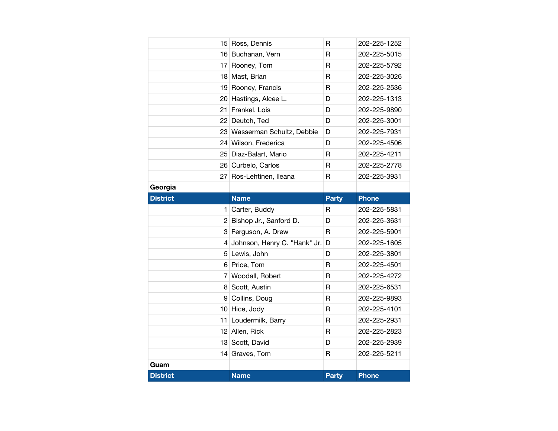|                 | 15 Ross, Dennis              | R            | 202-225-1252 |
|-----------------|------------------------------|--------------|--------------|
|                 | 16 Buchanan, Vern            | R            | 202-225-5015 |
| 17              | Rooney, Tom                  | R            | 202-225-5792 |
|                 | 18 Mast, Brian               | R            | 202-225-3026 |
|                 | 19 Rooney, Francis           | R            | 202-225-2536 |
|                 | 20 Hastings, Alcee L.        | D            | 202-225-1313 |
| 21              | Frankel, Lois                | D            | 202-225-9890 |
|                 | 22 Deutch, Ted               | D            | 202-225-3001 |
|                 | 23 Wasserman Schultz, Debbie | D            | 202-225-7931 |
|                 | 24 Wilson, Frederica         | D            | 202-225-4506 |
|                 | 25 Diaz-Balart, Mario        | R            | 202-225-4211 |
|                 | 26 Curbelo, Carlos           | R            | 202-225-2778 |
|                 | 27 Ros-Lehtinen, Ileana      | R            | 202-225-3931 |
| Georgia         |                              |              |              |
| <b>District</b> | <b>Name</b>                  | <b>Party</b> | <b>Phone</b> |
|                 | 1 Carter, Buddy              | R            | 202-225-5831 |
|                 |                              |              |              |
|                 | 2 Bishop Jr., Sanford D.     | D            | 202-225-3631 |
|                 | 3 Ferguson, A. Drew          | R            | 202-225-5901 |
| 4               | Johnson, Henry C. "Hank" Jr. | D            | 202-225-1605 |
|                 | 5 Lewis, John                | D            | 202-225-3801 |
|                 | 6 Price, Tom                 | R            | 202-225-4501 |
| 7               | Woodall, Robert              | $\mathsf{R}$ | 202-225-4272 |
| 8               | Scott, Austin                | R            | 202-225-6531 |
| 9               | Collins, Doug                | R            | 202-225-9893 |
|                 | 10 Hice, Jody                | R            | 202-225-4101 |
| 11              | Loudermilk, Barry            | R            | 202-225-2931 |
|                 | 12 Allen, Rick               | $\mathsf{R}$ | 202-225-2823 |
| 13              | Scott, David                 | D            | 202-225-2939 |
| 14              | Graves, Tom                  | R            | 202-225-5211 |
| Guam            |                              |              |              |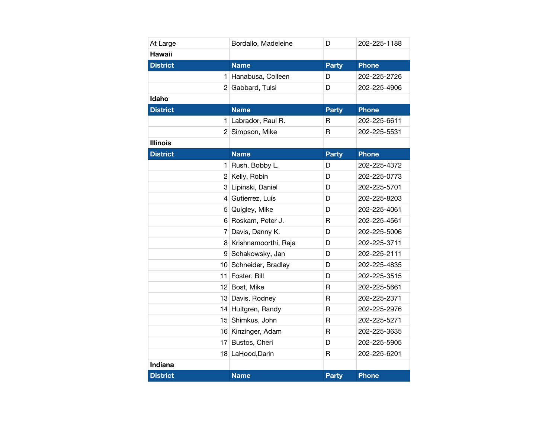| At Large        | Bordallo, Madeleine  | D            | 202-225-1188 |
|-----------------|----------------------|--------------|--------------|
| <b>Hawaii</b>   |                      |              |              |
| <b>District</b> | <b>Name</b>          | <b>Party</b> | <b>Phone</b> |
| 1               | Hanabusa, Colleen    | D            | 202-225-2726 |
| $\overline{2}$  | Gabbard, Tulsi       | D            | 202-225-4906 |
| <b>Idaho</b>    |                      |              |              |
| <b>District</b> | <b>Name</b>          | <b>Party</b> | <b>Phone</b> |
| 1               | Labrador, Raul R.    | R            | 202-225-6611 |
| 2               | Simpson, Mike        | R            | 202-225-5531 |
| <b>Illinois</b> |                      |              |              |
| <b>District</b> | <b>Name</b>          | <b>Party</b> | <b>Phone</b> |
| 1               | Rush, Bobby L.       | D            | 202-225-4372 |
| 2 <sup>1</sup>  | Kelly, Robin         | D            | 202-225-0773 |
| 3               | Lipinski, Daniel     | D            | 202-225-5701 |
| 4               | Gutierrez, Luis      | D            | 202-225-8203 |
| 5               | Quigley, Mike        | D            | 202-225-4061 |
| 6               | Roskam, Peter J.     | $\mathsf{R}$ | 202-225-4561 |
| 7               | Davis, Danny K.      | D            | 202-225-5006 |
| 8               | Krishnamoorthi, Raja | D            | 202-225-3711 |
| 9               | Schakowsky, Jan      | D            | 202-225-2111 |
| 10 <sup>1</sup> | Schneider, Bradley   | D            | 202-225-4835 |
| 11              | Foster, Bill         | D            | 202-225-3515 |
|                 | 12 Bost, Mike        | R            | 202-225-5661 |
| 13              | Davis, Rodney        | $\mathsf{R}$ | 202-225-2371 |
|                 | 14 Hultgren, Randy   | $\mathsf{R}$ | 202-225-2976 |
| 15              | Shimkus, John        | R            | 202-225-5271 |
| 16              | Kinzinger, Adam      | $\mathsf{R}$ | 202-225-3635 |
| 17              | Bustos, Cheri        | D            | 202-225-5905 |
| 18              | LaHood, Darin        | $\mathsf{R}$ | 202-225-6201 |
| Indiana         |                      |              |              |
| <b>District</b> | <b>Name</b>          | <b>Party</b> | <b>Phone</b> |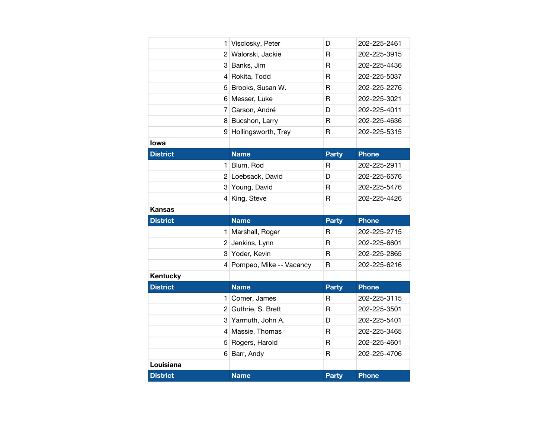|                 | 1 Visclosky, Peter        | D            | 202-225-2461 |
|-----------------|---------------------------|--------------|--------------|
|                 | 2 Walorski, Jackie        | R            | 202-225-3915 |
|                 | 3 Banks, Jim              | $\mathsf{R}$ | 202-225-4436 |
|                 | 4 Rokita, Todd            | R            | 202-225-5037 |
|                 | 5 Brooks, Susan W.        | $\mathsf{R}$ | 202-225-2276 |
|                 | 6 Messer, Luke            | R            | 202-225-3021 |
|                 | 7 Carson, André           | D            | 202-225-4011 |
|                 | 8 Bucshon, Larry          | $\mathsf{R}$ | 202-225-4636 |
| 9               | Hollingsworth, Trey       | $\mathsf{R}$ | 202-225-5315 |
| lowa            |                           |              |              |
| <b>District</b> | <b>Name</b>               | <b>Party</b> | <b>Phone</b> |
|                 | 1 Blum, Rod               | R            | 202-225-2911 |
|                 | 2 Loebsack, David         | D            | 202-225-6576 |
| 3               | Young, David              | $\mathsf{R}$ | 202-225-5476 |
|                 | 4 King, Steve             | R            | 202-225-4426 |
|                 |                           |              |              |
| Kansas          |                           |              |              |
| <b>District</b> | <b>Name</b>               | <b>Party</b> | <b>Phone</b> |
|                 | 1 Marshall, Roger         | R            | 202-225-2715 |
|                 | 2 Jenkins, Lynn           | R            | 202-225-6601 |
|                 | 3 Yoder, Kevin            | $\mathsf{R}$ | 202-225-2865 |
|                 | 4 Pompeo, Mike -- Vacancy | R            | 202-225-6216 |
| Kentucky        |                           |              |              |
| <b>District</b> | <b>Name</b>               | <b>Party</b> | <b>Phone</b> |
|                 | 1 Comer, James            | R            | 202-225-3115 |
|                 | 2 Guthrie, S. Brett       | R            | 202-225-3501 |
|                 | 3 Yarmuth, John A.        | D            | 202-225-5401 |
|                 | 4 Massie, Thomas          | R            | 202-225-3465 |
| 5 <sup>1</sup>  | Rogers, Harold            | $\mathsf{R}$ | 202-225-4601 |
|                 | 6 Barr, Andy              | $\mathsf{R}$ | 202-225-4706 |
| Louisiana       |                           |              |              |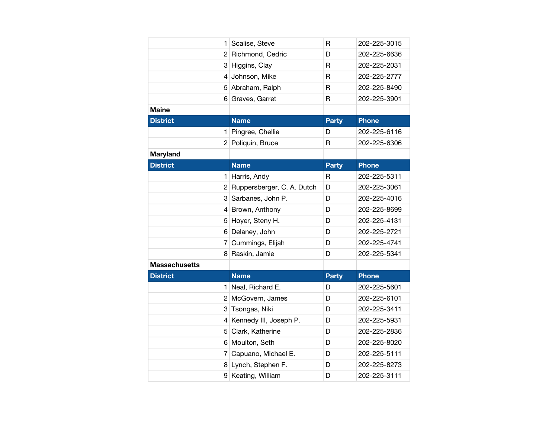|                      | 1.             | Scalise, Steve             | R                       | 202-225-3015 |
|----------------------|----------------|----------------------------|-------------------------|--------------|
|                      | 2              | Richmond, Cedric           | D                       | 202-225-6636 |
|                      | 31             | Higgins, Clay              | $\mathsf{R}$            | 202-225-2031 |
|                      | 4              | Johnson, Mike              | $\mathsf{R}$            | 202-225-2777 |
|                      | 5              | Abraham, Ralph             | $\overline{\mathsf{R}}$ | 202-225-8490 |
|                      | 6              | Graves, Garret             | R                       | 202-225-3901 |
| <b>Maine</b>         |                |                            |                         |              |
| <b>District</b>      |                | <b>Name</b>                | Party                   | <b>Phone</b> |
|                      | 1              | Pingree, Chellie           | D                       | 202-225-6116 |
|                      |                | 2 Poliquin, Bruce          | R                       | 202-225-6306 |
| <b>Maryland</b>      |                |                            |                         |              |
| <b>District</b>      |                | <b>Name</b>                | <b>Party</b>            | <b>Phone</b> |
|                      | 1              | Harris, Andy               | R                       | 202-225-5311 |
|                      | $\overline{2}$ | Ruppersberger, C. A. Dutch | D                       | 202-225-3061 |
|                      | 3              | Sarbanes, John P.          | D                       | 202-225-4016 |
|                      |                | 4 Brown, Anthony           | D                       | 202-225-8699 |
|                      | 5              | Hoyer, Steny H.            | D                       | 202-225-4131 |
|                      |                | 6 Delaney, John            | D                       | 202-225-2721 |
|                      | 7              | Cummings, Elijah           | D                       | 202-225-4741 |
|                      | 8              | Raskin, Jamie              | D                       | 202-225-5341 |
| <b>Massachusetts</b> |                |                            |                         |              |
| <b>District</b>      |                | <b>Name</b>                | <b>Party</b>            | <b>Phone</b> |
|                      | 1.             | Neal, Richard E.           | D                       | 202-225-5601 |
|                      |                |                            |                         |              |
|                      | $\overline{2}$ | McGovern, James            | D                       | 202-225-6101 |
|                      |                | 3 Tsongas, Niki            | D                       | 202-225-3411 |
|                      | $\overline{4}$ | Kennedy III, Joseph P.     | D                       | 202-225-5931 |
|                      | 5              | Clark, Katherine           | D                       | 202-225-2836 |
|                      |                | 6 Moulton, Seth            | D                       | 202-225-8020 |
|                      | $\overline{7}$ | Capuano, Michael E.        | D                       | 202-225-5111 |
|                      | 81             | Lynch, Stephen F.          | D                       | 202-225-8273 |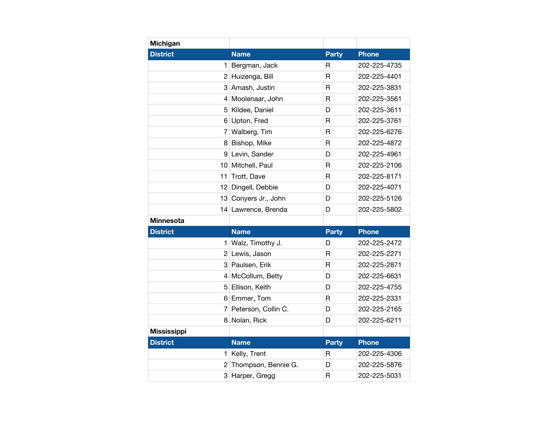| Michigan           |                      |              |              |
|--------------------|----------------------|--------------|--------------|
| <b>District</b>    | <b>Name</b>          | <b>Party</b> | <b>Phone</b> |
| 1                  | Bergman, Jack        | R            | 202-225-4735 |
| 2 <sup>2</sup>     | Huizenga, Bill       | $\mathsf R$  | 202-225-4401 |
|                    | 3 Amash, Justin      | R            | 202-225-3831 |
| $\overline{4}$     | Moolenaar, John      | $\mathsf{R}$ | 202-225-3561 |
| 5                  | Kildee, Daniel       | D            | 202-225-3611 |
| 61                 | Upton, Fred          | R            | 202-225-3761 |
| 7                  | Walberg, Tim         | R            | 202-225-6276 |
| 8                  | Bishop, Mike         | R            | 202-225-4872 |
| 9                  | Levin, Sander        | D            | 202-225-4961 |
| 10 <sup>1</sup>    | Mitchell, Paul       | $\mathsf R$  | 202-225-2106 |
| 11                 | Trott, Dave          | R            | 202-225-8171 |
| 12                 | Dingell, Debbie      | D            | 202-225-4071 |
|                    | 13 Conyers Jr., John | D            | 202-225-5126 |
|                    | 14 Lawrence, Brenda  | D            | 202-225-5802 |
| <b>Minnesota</b>   |                      |              |              |
| <b>District</b>    | <b>Name</b>          | <b>Party</b> | <b>Phone</b> |
| 1                  | Walz, Timothy J.     | D            | 202-225-2472 |
| $\overline{2}$     | Lewis, Jason         | $\mathsf{R}$ | 202-225-2271 |
|                    | 3 Paulsen, Erik      | R            | 202-225-2871 |
|                    | 4 McCollum, Betty    | D            | 202-225-6631 |
| 5                  | Ellison, Keith       | D            | 202-225-4755 |
| 6                  | Emmer, Tom           | R            | 202-225-2331 |
| 7                  | Peterson, Collin C.  | D            | 202-225-2165 |
| 8                  | Nolan, Rick          | D            | 202-225-6211 |
| <b>Mississippi</b> |                      |              |              |
| <b>District</b>    | <b>Name</b>          | <b>Party</b> | <b>Phone</b> |
| 1                  | Kelly, Trent         | R            | 202-225-4306 |
| 2                  | Thompson, Bennie G.  | D            | 202-225-5876 |
| 3                  | Harper, Gregg        | R            | 202-225-5031 |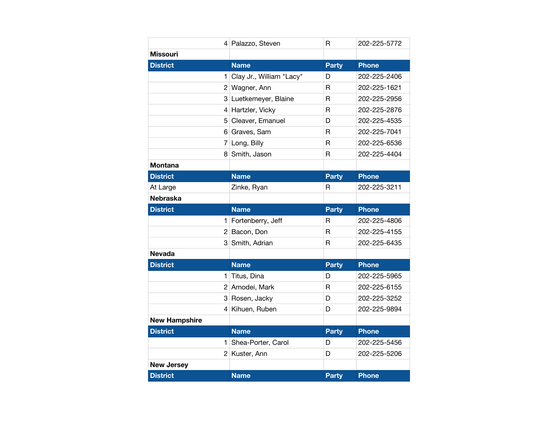|                      | 4 Palazzo, Steven        | R            | 202-225-5772 |
|----------------------|--------------------------|--------------|--------------|
| <b>Missouri</b>      |                          |              |              |
| <b>District</b>      | <b>Name</b>              | <b>Party</b> | <b>Phone</b> |
| 1                    | Clay Jr., William "Lacy" | D            | 202-225-2406 |
|                      | 2 Wagner, Ann            | R            | 202-225-1621 |
|                      | 3 Luetkemeyer, Blaine    | R            | 202-225-2956 |
| 4                    | Hartzler, Vicky          | $\mathsf{R}$ | 202-225-2876 |
| 5                    | Cleaver, Emanuel         | D            | 202-225-4535 |
| 6                    | Graves, Sam              | R            | 202-225-7041 |
| 7                    | Long, Billy              | $\mathsf{R}$ | 202-225-6536 |
| 8                    | Smith, Jason             | R            | 202-225-4404 |
| Montana              |                          |              |              |
| <b>District</b>      | <b>Name</b>              | <b>Party</b> | <b>Phone</b> |
| At Large             | Zinke, Ryan              | R            | 202-225-3211 |
| <b>Nebraska</b>      |                          |              |              |
| <b>District</b>      | <b>Name</b>              | <b>Party</b> | <b>Phone</b> |
| 1                    | Fortenberry, Jeff        | R            | 202-225-4806 |
|                      | 2 Bacon, Don             | $\mathsf{R}$ | 202-225-4155 |
| 3                    | Smith, Adrian            | R            | 202-225-6435 |
| <b>Nevada</b>        |                          |              |              |
| <b>District</b>      | <b>Name</b>              | <b>Party</b> | <b>Phone</b> |
| 1                    | Titus, Dina              | D            | 202-225-5965 |
|                      | 2 Amodei, Mark           | R            | 202-225-6155 |
| 3                    | Rosen, Jacky             | D            | 202-225-3252 |
| $\overline{4}$       | Kihuen, Ruben            | D            | 202-225-9894 |
| <b>New Hampshire</b> |                          |              |              |
| <b>District</b>      | <b>Name</b>              | <b>Party</b> | <b>Phone</b> |
| 1                    | Shea-Porter, Carol       | D            | 202-225-5456 |
|                      | 2 Kuster, Ann            | D            | 202-225-5206 |
| <b>New Jersey</b>    |                          |              |              |
| <b>District</b>      | <b>Name</b>              | <b>Party</b> | <b>Phone</b> |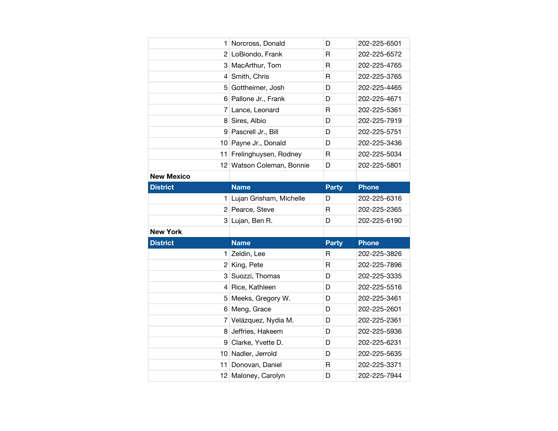| 1                 | Norcross, Donald          | D            | 202-225-6501 |
|-------------------|---------------------------|--------------|--------------|
|                   | 2 LoBiondo, Frank         | R            | 202-225-6572 |
|                   | 3 MacArthur, Tom          | R            | 202-225-4765 |
| 4 <sup>1</sup>    | Smith, Chris              | R            | 202-225-3765 |
| 5 <sup>5</sup>    | Gottheimer, Josh          | D            | 202-225-4465 |
|                   | 6 Pallone Jr., Frank      | D            | 202-225-4671 |
|                   | 7 Lance, Leonard          | R            | 202-225-5361 |
|                   | 8 Sires, Albio            | D            | 202-225-7919 |
|                   | 9 Pascrell Jr., Bill      | D            | 202-225-5751 |
|                   | 10 Payne Jr., Donald      | D            | 202-225-3436 |
|                   | 11 Frelinghuysen, Rodney  | R            | 202-225-5034 |
|                   | 12 Watson Coleman, Bonnie | D            | 202-225-5801 |
| <b>New Mexico</b> |                           |              |              |
| <b>District</b>   | <b>Name</b>               | <b>Party</b> | <b>Phone</b> |
| 1                 | Lujan Grisham, Michelle   | D            | 202-225-6316 |
|                   | 2 Pearce, Steve           | R            | 202-225-2365 |
|                   |                           |              |              |
|                   | 3 Lujan, Ben R.           | D            | 202-225-6190 |
| <b>New York</b>   |                           |              |              |
| <b>District</b>   | <b>Name</b>               | <b>Party</b> | <b>Phone</b> |
| 1                 | Zeldin, Lee               | R            | 202-225-3826 |
|                   | 2 King, Pete              | R            | 202-225-7896 |
|                   | 3 Suozzi, Thomas          | D            | 202-225-3335 |
|                   | 4 Rice, Kathleen          | D            | 202-225-5516 |
| 5                 | Meeks, Gregory W.         | D            | 202-225-3461 |
|                   | 6 Meng, Grace             | D            | 202-225-2601 |
|                   | 7 Velázquez, Nydia M.     | D            | 202-225-2361 |
|                   | 8 Jeffries, Hakeem        | D            | 202-225-5936 |
|                   | 9 Clarke, Yvette D.       | D            | 202-225-6231 |
|                   | 10 Nadler, Jerrold        | D            | 202-225-5635 |
| 11                | Donovan, Daniel           | R            | 202-225-3371 |
|                   | 12 Maloney, Carolyn       | D            | 202-225-7944 |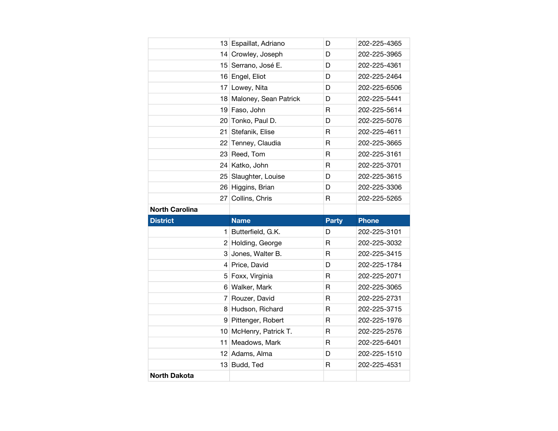|                       | 13 Espaillat, Adriano    | D            | 202-225-4365 |
|-----------------------|--------------------------|--------------|--------------|
|                       | 14 Crowley, Joseph       | D            | 202-225-3965 |
|                       | 15 Serrano, José E.      | D            | 202-225-4361 |
|                       | 16 Engel, Eliot          | D            | 202-225-2464 |
|                       | 17 Lowey, Nita           | D            | 202-225-6506 |
|                       | 18 Maloney, Sean Patrick | D            | 202-225-5441 |
|                       | 19 Faso, John            | R            | 202-225-5614 |
|                       | 20 Tonko, Paul D.        | D            | 202-225-5076 |
| 21                    | Stefanik, Elise          | $\mathsf{R}$ | 202-225-4611 |
|                       | 22 Tenney, Claudia       | R            | 202-225-3665 |
|                       | 23 Reed, Tom             | $\mathsf{R}$ | 202-225-3161 |
|                       | 24 Katko, John           | R            | 202-225-3701 |
|                       | 25 Slaughter, Louise     | D            | 202-225-3615 |
|                       | 26 Higgins, Brian        | D            | 202-225-3306 |
|                       | 27 Collins, Chris        | R            | 202-225-5265 |
| <b>North Carolina</b> |                          |              |              |
|                       |                          |              |              |
| <b>District</b>       | <b>Name</b>              | <b>Party</b> | <b>Phone</b> |
| 1                     | Butterfield, G.K.        | D            | 202-225-3101 |
|                       | 2 Holding, George        | $\mathsf{R}$ | 202-225-3032 |
|                       | 3 Jones, Walter B.       | R            | 202-225-3415 |
|                       | 4 Price, David           | D            | 202-225-1784 |
|                       | 5 Foxx, Virginia         | $\mathsf{R}$ | 202-225-2071 |
|                       | 6 Walker, Mark           | R            | 202-225-3065 |
| 7 <sup>1</sup>        | Rouzer, David            | $\mathsf{R}$ | 202-225-2731 |
|                       | 8 Hudson, Richard        | R            | 202-225-3715 |
|                       | 9 Pittenger, Robert      | R            | 202-225-1976 |
|                       | 10 McHenry, Patrick T.   | $\mathsf{R}$ | 202-225-2576 |
| 11 <sup>1</sup>       | Meadows, Mark            | R            | 202-225-6401 |
|                       | 12 Adams, Alma           | D            | 202-225-1510 |
|                       | 13 Budd, Ted             | $\mathsf{R}$ | 202-225-4531 |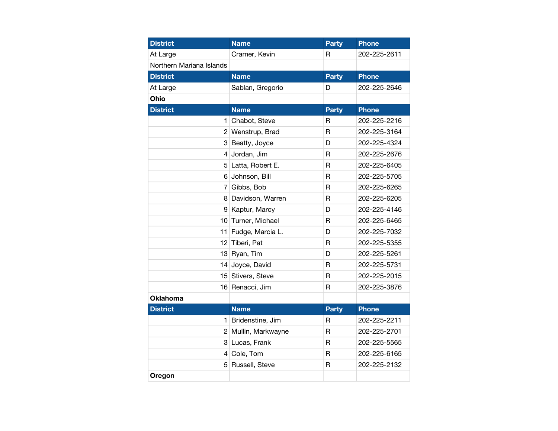| <b>District</b>          | <b>Name</b>         | <b>Party</b> | Phone        |
|--------------------------|---------------------|--------------|--------------|
| At Large                 | Cramer, Kevin       | R            | 202-225-2611 |
| Northern Mariana Islands |                     |              |              |
| <b>District</b>          | <b>Name</b>         | <b>Party</b> | <b>Phone</b> |
| At Large                 | Sablan, Gregorio    | D            | 202-225-2646 |
| Ohio                     |                     |              |              |
| <b>District</b>          | <b>Name</b>         | <b>Party</b> | <b>Phone</b> |
|                          | 1 Chabot, Steve     | R            | 202-225-2216 |
|                          | 2 Wenstrup, Brad    | $\mathsf{R}$ | 202-225-3164 |
|                          | 3 Beatty, Joyce     | D            | 202-225-4324 |
|                          | 4 Jordan, Jim       | R            | 202-225-2676 |
|                          | 5 Latta, Robert E.  | R            | 202-225-6405 |
|                          | 6 Johnson, Bill     | $\mathsf{R}$ | 202-225-5705 |
| $\overline{7}$           | Gibbs, Bob          | R            | 202-225-6265 |
|                          | 8 Davidson, Warren  | R            | 202-225-6205 |
|                          | 9 Kaptur, Marcy     | D            | 202-225-4146 |
| 10                       | Turner, Michael     | R            | 202-225-6465 |
|                          | 11 Fudge, Marcia L. | D            | 202-225-7032 |
| 12                       | Tiberi, Pat         | $\mathsf{R}$ | 202-225-5355 |
|                          | 13 Ryan, Tim        | D            | 202-225-5261 |
| 14                       | Joyce, David        | R            | 202-225-5731 |
| 15                       | Stivers, Steve      | $\mathsf{R}$ | 202-225-2015 |
|                          | 16 Renacci, Jim     | $\mathsf{R}$ | 202-225-3876 |
| <b>Oklahoma</b>          |                     |              |              |
| <b>District</b>          | <b>Name</b>         | <b>Party</b> | <b>Phone</b> |
| 1.                       | Bridenstine, Jim    | R            | 202-225-2211 |
| $\overline{2}$           | Mullin, Markwayne   | R            | 202-225-2701 |
| 3                        | Lucas, Frank        | $\mathsf{R}$ | 202-225-5565 |
|                          | 4 Cole, Tom         | R            | 202-225-6165 |
|                          | 5 Russell, Steve    | R            | 202-225-2132 |
| Oregon                   |                     |              |              |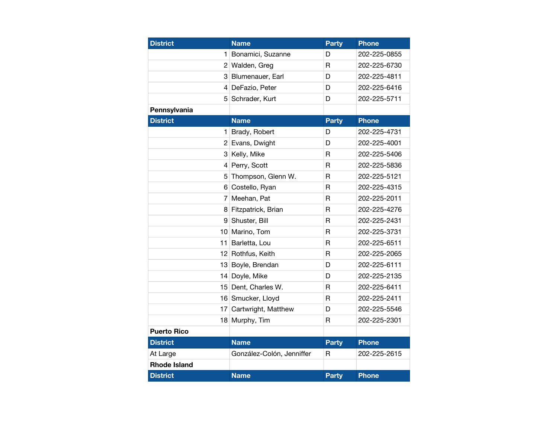| <b>District</b>     | <b>Name</b>               | <b>Party</b> | <b>Phone</b> |
|---------------------|---------------------------|--------------|--------------|
| 1                   | Bonamici, Suzanne         | D            | 202-225-0855 |
|                     | 2 Walden, Greg            | $\mathsf{R}$ | 202-225-6730 |
|                     | 3 Blumenauer, Earl        | D            | 202-225-4811 |
|                     | 4 DeFazio, Peter          | D            | 202-225-6416 |
| 5                   | Schrader, Kurt            | D            | 202-225-5711 |
| Pennsylvania        |                           |              |              |
| <b>District</b>     | <b>Name</b>               | <b>Party</b> | <b>Phone</b> |
| 1                   | Brady, Robert             | D            | 202-225-4731 |
|                     | 2 Evans, Dwight           | D            | 202-225-4001 |
|                     | 3 Kelly, Mike             | R            | 202-225-5406 |
|                     | 4 Perry, Scott            | R            | 202-225-5836 |
| 5                   | Thompson, Glenn W.        | R            | 202-225-5121 |
| 6                   | Costello, Ryan            | $\mathsf{R}$ | 202-225-4315 |
| 7                   | Meehan, Pat               | R            | 202-225-2011 |
|                     | 8 Fitzpatrick, Brian      | R            | 202-225-4276 |
| 9                   | Shuster, Bill             | $\mathsf{R}$ | 202-225-2431 |
|                     | 10 Marino, Tom            | R            | 202-225-3731 |
|                     | 11 Barletta, Lou          | $\mathsf{R}$ | 202-225-6511 |
|                     | 12 Rothfus, Keith         | $\mathsf{R}$ | 202-225-2065 |
|                     | 13 Boyle, Brendan         | D            | 202-225-6111 |
|                     | 14 Doyle, Mike            | D            | 202-225-2135 |
|                     | 15 Dent, Charles W.       | R            | 202-225-6411 |
|                     | 16 Smucker, Lloyd         | R            | 202-225-2411 |
|                     | 17 Cartwright, Matthew    | D            | 202-225-5546 |
|                     | 18 Murphy, Tim            | R            | 202-225-2301 |
| <b>Puerto Rico</b>  |                           |              |              |
| <b>District</b>     | <b>Name</b>               | <b>Party</b> | <b>Phone</b> |
| At Large            | González-Colón, Jenniffer | R            | 202-225-2615 |
| <b>Rhode Island</b> |                           |              |              |
| <b>District</b>     | <b>Name</b>               | <b>Party</b> | <b>Phone</b> |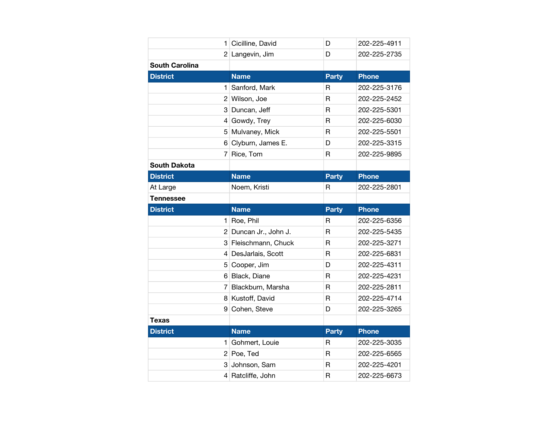| 1                     | Cicilline, David      | D                       | 202-225-4911 |
|-----------------------|-----------------------|-------------------------|--------------|
|                       | 2 Langevin, Jim       | D                       | 202-225-2735 |
| <b>South Carolina</b> |                       |                         |              |
| <b>District</b>       | <b>Name</b>           | <b>Party</b>            | <b>Phone</b> |
| 1                     | Sanford, Mark         | R                       | 202-225-3176 |
|                       | 2 Wilson, Joe         | R                       | 202-225-2452 |
|                       | 3 Duncan, Jeff        | $\mathsf{R}$            | 202-225-5301 |
|                       | 4 Gowdy, Trey         | $\mathsf{R}$            | 202-225-6030 |
|                       | 5 Mulvaney, Mick      | R                       | 202-225-5501 |
|                       | 6 Clyburn, James E.   | D                       | 202-225-3315 |
|                       | 7 Rice, Tom           | $\mathsf{R}$            | 202-225-9895 |
| <b>South Dakota</b>   |                       |                         |              |
| <b>District</b>       | <b>Name</b>           | <b>Party</b>            | <b>Phone</b> |
| At Large              | Noem, Kristi          | R                       | 202-225-2801 |
| <b>Tennessee</b>      |                       |                         |              |
|                       | <b>Name</b>           |                         | <b>Phone</b> |
| <b>District</b>       |                       | <b>Party</b>            |              |
| 1                     | Roe, Phil             | R                       | 202-225-6356 |
|                       | 2 Duncan Jr., John J. | $\mathsf{R}$            | 202-225-5435 |
|                       | 3 Fleischmann, Chuck  | $\mathsf{R}$            | 202-225-3271 |
|                       | 4 DesJarlais, Scott   | R                       | 202-225-6831 |
|                       | 5 Cooper, Jim         | D                       | 202-225-4311 |
|                       | 6 Black, Diane        | $\overline{\mathsf{R}}$ | 202-225-4231 |
|                       | 7 Blackburn, Marsha   | R                       | 202-225-2811 |
|                       | 8 Kustoff, David      | $\mathsf R$             | 202-225-4714 |
|                       | 9 Cohen, Steve        | D                       | 202-225-3265 |
| Texas                 |                       |                         |              |
| <b>District</b>       | <b>Name</b>           | Party                   | <b>Phone</b> |
| 1                     | Gohmert, Louie        | $\mathsf{R}$            | 202-225-3035 |
|                       | $2$ Poe, Ted          | R                       | 202-225-6565 |
|                       | 3 Johnson, Sam        | $\mathsf{R}$            | 202-225-4201 |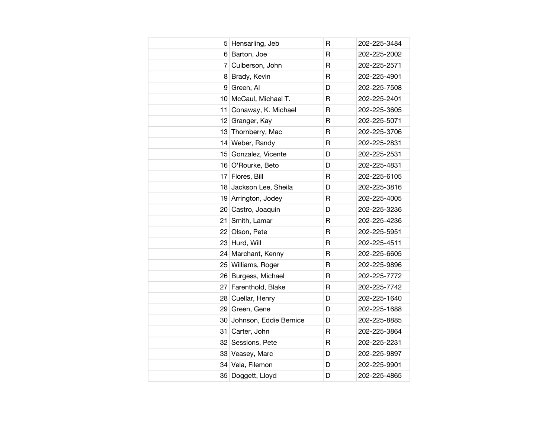|    | 5 Hensarling, Jeb      | R            | 202-225-3484 |
|----|------------------------|--------------|--------------|
|    | 6 Barton, Joe          | $\mathsf{R}$ | 202-225-2002 |
| 7  | Culberson, John        | R            | 202-225-2571 |
| 8  | Brady, Kevin           | R            | 202-225-4901 |
| 9  | Green, Al              | D            | 202-225-7508 |
|    | 10 McCaul, Michael T.  | R            | 202-225-2401 |
| 11 | Conaway, K. Michael    | $\mathsf R$  | 202-225-3605 |
|    | 12 Granger, Kay        | R            | 202-225-5071 |
|    | 13 Thornberry, Mac     | R            | 202-225-3706 |
|    | 14 Weber, Randy        | $\mathsf{R}$ | 202-225-2831 |
|    | 15 Gonzalez, Vicente   | D            | 202-225-2531 |
|    | 16 O'Rourke, Beto      | D            | 202-225-4831 |
|    | 17 Flores, Bill        | R            | 202-225-6105 |
| 18 | Jackson Lee, Sheila    | D            | 202-225-3816 |
|    | 19 Arrington, Jodey    | R            | 202-225-4005 |
|    | 20 Castro, Joaquin     | D            | 202-225-3236 |
| 21 | Smith, Lamar           | R            | 202-225-4236 |
|    | 22 Olson, Pete         | R            | 202-225-5951 |
|    | 23 Hurd, Will          | R            | 202-225-4511 |
|    | 24 Marchant, Kenny     | $\mathsf{R}$ | 202-225-6605 |
|    | 25 Williams, Roger     | R            | 202-225-9896 |
|    | 26 Burgess, Michael    | $\mathsf{R}$ | 202-225-7772 |
|    | 27 Farenthold, Blake   | R            | 202-225-7742 |
|    | 28 Cuellar, Henry      | D            | 202-225-1640 |
|    | 29 Green, Gene         | D            | 202-225-1688 |
| 30 | Johnson, Eddie Bernice | D            | 202-225-8885 |
|    | 31 Carter, John        | R            | 202-225-3864 |
|    | 32 Sessions, Pete      | R            | 202-225-2231 |
|    | 33 Veasey, Marc        | D            | 202-225-9897 |
|    | 34 Vela, Filemon       | D            | 202-225-9901 |
|    | 35 Doggett, Lloyd      | D            | 202-225-4865 |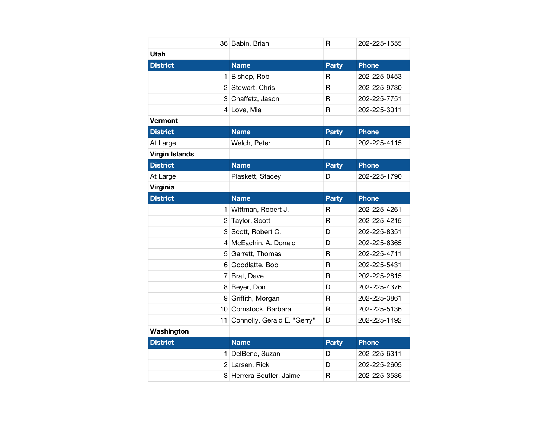|                       | 36 Babin, Brian             | R            | 202-225-1555 |
|-----------------------|-----------------------------|--------------|--------------|
| <b>Utah</b>           |                             |              |              |
| <b>District</b>       | <b>Name</b>                 | <b>Party</b> | <b>Phone</b> |
|                       | 1 Bishop, Rob               | R            | 202-225-0453 |
|                       | 2 Stewart, Chris            | R            | 202-225-9730 |
|                       | 3 Chaffetz, Jason           | R            | 202-225-7751 |
|                       | 4 Love, Mia                 | $\mathsf{R}$ | 202-225-3011 |
| <b>Vermont</b>        |                             |              |              |
| <b>District</b>       | <b>Name</b>                 | <b>Party</b> | <b>Phone</b> |
| At Large              | Welch, Peter                | D            | 202-225-4115 |
| <b>Virgin Islands</b> |                             |              |              |
| <b>District</b>       | <b>Name</b>                 | <b>Party</b> | <b>Phone</b> |
| At Large              | Plaskett, Stacey            | D            | 202-225-1790 |
| <b>Virginia</b>       |                             |              |              |
| <b>District</b>       | <b>Name</b>                 | <b>Party</b> | <b>Phone</b> |
|                       | 1 Wittman, Robert J.        | R            | 202-225-4261 |
|                       |                             |              |              |
| 2                     | Taylor, Scott               | R            | 202-225-4215 |
|                       | 3 Scott, Robert C.          | D            | 202-225-8351 |
| 4                     | McEachin, A. Donald         | D            | 202-225-6365 |
| 5                     | Garrett, Thomas             | R            | 202-225-4711 |
| 6                     | Goodlatte, Bob              | $\mathsf{R}$ | 202-225-5431 |
| 7                     | Brat, Dave                  | $\mathsf{R}$ | 202-225-2815 |
|                       | 8 Beyer, Don                | D            | 202-225-4376 |
|                       | 9 Griffith, Morgan          | R            | 202-225-3861 |
|                       | 10 Comstock, Barbara        | R            | 202-225-5136 |
| 11                    | Connolly, Gerald E. "Gerry" | D            | 202-225-1492 |
| Washington            |                             |              |              |
| <b>District</b>       | <b>Name</b>                 | <b>Party</b> | <b>Phone</b> |
|                       | 1 DelBene, Suzan            | D            | 202-225-6311 |
|                       | 2 Larsen, Rick              | D            | 202-225-2605 |